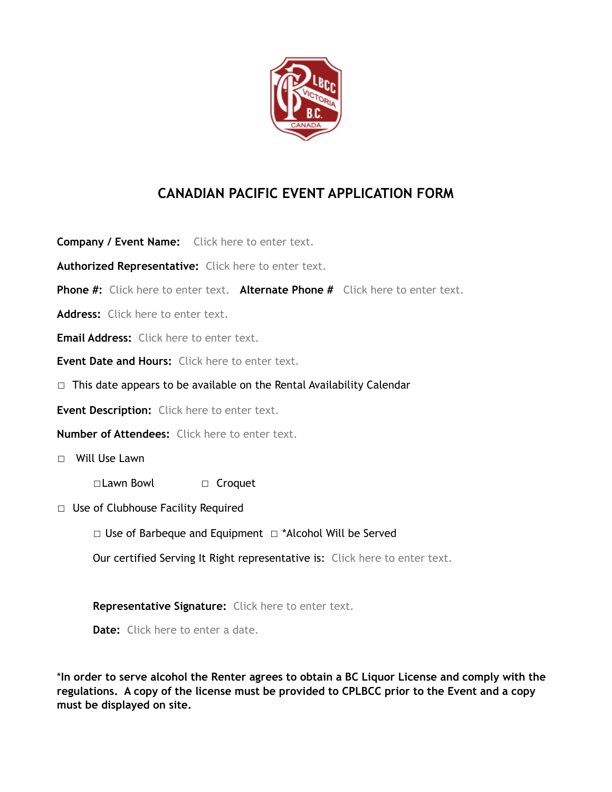

## **CANADIAN PACIFIC EVENT APPLICATION FORM**

**Company / Event Name:** Click here to enter text. **Authorized Representative:** Click here to enter text. **Phone #:** Click here to enter text. **Alternate Phone #** Click here to enter text. **Address:** Click here to enter text. **Email Address:** Click here to enter text. **Event Date and Hours:** Click here to enter text. □ This date appears to be available on the Rental Availability Calendar **Event Description:** Click here to enter text. **Number of Attendees:** Click here to enter text. ☐ Will Use Lawn ☐Lawn Bowl ☐ Croquet ☐ Use of Clubhouse Facility Required ☐ Use of Barbeque and Equipment ☐ \*Alcohol Will be Served Our certified Serving It Right representative is: Click here to enter text. **Representative Signature:** Click here to enter text. **Date:** Click here to enter a date.

\***In order to serve alcohol the Renter agrees to obtain a BC Liquor License and comply with the regulations. A copy of the license must be provided to CPLBCC prior to the Event and a copy must be displayed on site.**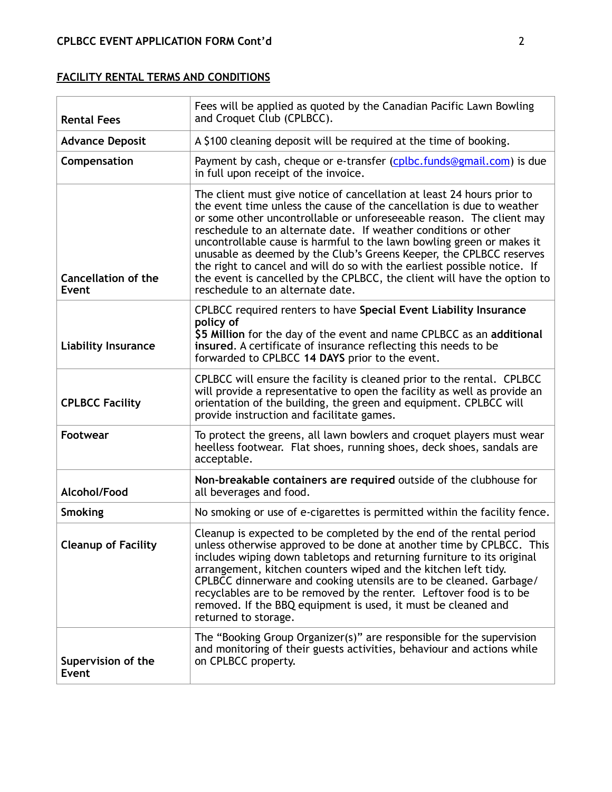## **FACILITY RENTAL TERMS AND CONDITIONS**

| <b>Rental Fees</b>                  | Fees will be applied as quoted by the Canadian Pacific Lawn Bowling<br>and Croquet Club (CPLBCC).                                                                                                                                                                                                                                                                                                                                                                                                                                                                                                                                      |
|-------------------------------------|----------------------------------------------------------------------------------------------------------------------------------------------------------------------------------------------------------------------------------------------------------------------------------------------------------------------------------------------------------------------------------------------------------------------------------------------------------------------------------------------------------------------------------------------------------------------------------------------------------------------------------------|
| <b>Advance Deposit</b>              | A \$100 cleaning deposit will be required at the time of booking.                                                                                                                                                                                                                                                                                                                                                                                                                                                                                                                                                                      |
| Compensation                        | Payment by cash, cheque or e-transfer (cplbc.funds@gmail.com) is due<br>in full upon receipt of the invoice.                                                                                                                                                                                                                                                                                                                                                                                                                                                                                                                           |
| <b>Cancellation of the</b><br>Event | The client must give notice of cancellation at least 24 hours prior to<br>the event time unless the cause of the cancellation is due to weather<br>or some other uncontrollable or unforeseeable reason. The client may<br>reschedule to an alternate date. If weather conditions or other<br>uncontrollable cause is harmful to the lawn bowling green or makes it<br>unusable as deemed by the Club's Greens Keeper, the CPLBCC reserves<br>the right to cancel and will do so with the earliest possible notice. If<br>the event is cancelled by the CPLBCC, the client will have the option to<br>reschedule to an alternate date. |
| <b>Liability Insurance</b>          | CPLBCC required renters to have Special Event Liability Insurance<br>policy of<br>\$5 Million for the day of the event and name CPLBCC as an additional<br>insured. A certificate of insurance reflecting this needs to be<br>forwarded to CPLBCC 14 DAYS prior to the event.                                                                                                                                                                                                                                                                                                                                                          |
| <b>CPLBCC Facility</b>              | CPLBCC will ensure the facility is cleaned prior to the rental. CPLBCC<br>will provide a representative to open the facility as well as provide an<br>orientation of the building, the green and equipment. CPLBCC will<br>provide instruction and facilitate games.                                                                                                                                                                                                                                                                                                                                                                   |
| <b>Footwear</b>                     | To protect the greens, all lawn bowlers and croquet players must wear<br>heelless footwear. Flat shoes, running shoes, deck shoes, sandals are<br>acceptable.                                                                                                                                                                                                                                                                                                                                                                                                                                                                          |
| Alcohol/Food                        | Non-breakable containers are required outside of the clubhouse for<br>all beverages and food.                                                                                                                                                                                                                                                                                                                                                                                                                                                                                                                                          |
| <b>Smoking</b>                      | No smoking or use of e-cigarettes is permitted within the facility fence.                                                                                                                                                                                                                                                                                                                                                                                                                                                                                                                                                              |
| <b>Cleanup of Facility</b>          | Cleanup is expected to be completed by the end of the rental period<br>unless otherwise approved to be done at another time by CPLBCC. This<br>includes wiping down tabletops and returning furniture to its original<br>arrangement, kitchen counters wiped and the kitchen left tidy.<br>CPLBCC dinnerware and cooking utensils are to be cleaned. Garbage/<br>recyclables are to be removed by the renter. Leftover food is to be<br>removed. If the BBQ equipment is used, it must be cleaned and<br>returned to storage.                                                                                                          |
| Supervision of the<br><b>Event</b>  | The "Booking Group Organizer(s)" are responsible for the supervision<br>and monitoring of their guests activities, behaviour and actions while<br>on CPLBCC property.                                                                                                                                                                                                                                                                                                                                                                                                                                                                  |